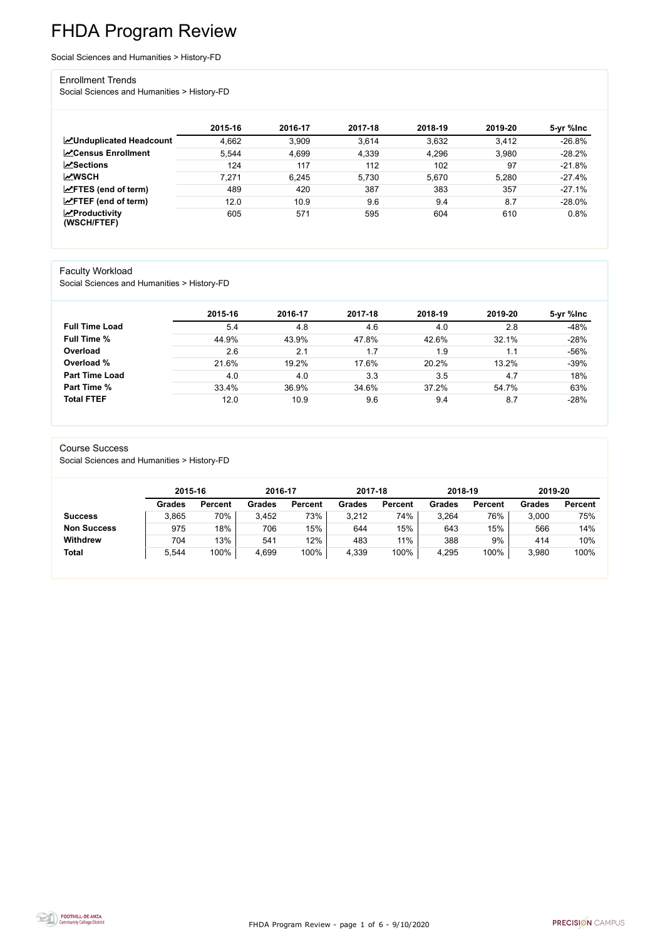FHDA Program Review - page 1 of 6 - 9/10/2020



# FHDA Program Review

Social Sciences and Humanities > History-FD

#### Enrollment Trends

Social Sciences and Humanities > History-FD

|                                        | 2015-16 | 2016-17 | 2017-18 | 2018-19 | 2019-20 | 5-yr %lnc |
|----------------------------------------|---------|---------|---------|---------|---------|-----------|
| <b>ZUnduplicated Headcount</b>         | 4,662   | 3,909   | 3,614   | 3,632   | 3,412   | $-26.8%$  |
| <b>∠</b> Census Enrollment             | 5,544   | 4,699   | 4,339   | 4,296   | 3,980   | $-28.2%$  |
| <b>ZSections</b>                       | 124     | 117     | 112     | 102     | 97      | $-21.8%$  |
| <b>MWSCH</b>                           | 7,271   | 6,245   | 5,730   | 5,670   | 5,280   | $-27.4%$  |
| $\angle$ FTES (end of term)            | 489     | 420     | 387     | 383     | 357     | $-27.1%$  |
| $\angle$ FTEF (end of term)            | 12.0    | 10.9    | 9.6     | 9.4     | 8.7     | $-28.0\%$ |
| $\sqrt{2}$ Productivity<br>(WSCH/FTEF) | 605     | 571     | 595     | 604     | 610     | 0.8%      |

#### Faculty Workload

Social Sciences and Humanities > History-FD

|                       | 2015-16 | 2016-17 | 2017-18 | 2018-19 | 2019-20 | 5-yr %lnc |
|-----------------------|---------|---------|---------|---------|---------|-----------|
| <b>Full Time Load</b> | 5.4     | 4.8     | 4.6     | 4.0     | 2.8     | $-48%$    |
| <b>Full Time %</b>    | 44.9%   | 43.9%   | 47.8%   | 42.6%   | 32.1%   | $-28%$    |
| Overload              | 2.6     | 2.1     | 1.7     | 1.9     | 1.1     | $-56%$    |
| Overload %            | 21.6%   | 19.2%   | 17.6%   | 20.2%   | 13.2%   | $-39%$    |
| <b>Part Time Load</b> | 4.0     | 4.0     | 3.3     | 3.5     | 4.7     | 18%       |
| <b>Part Time %</b>    | 33.4%   | 36.9%   | 34.6%   | 37.2%   | 54.7%   | 63%       |
| <b>Total FTEF</b>     | 12.0    | 10.9    | 9.6     | 9.4     | 8.7     | $-28%$    |

#### Course Success

Social Sciences and Humanities > History-FD

|                    | 2015-16       |                | 2016-17       |                | 2017-18       |                | 2018-19       |                | 2019-20       |                |
|--------------------|---------------|----------------|---------------|----------------|---------------|----------------|---------------|----------------|---------------|----------------|
|                    | <b>Grades</b> | <b>Percent</b> | <b>Grades</b> | <b>Percent</b> | <b>Grades</b> | <b>Percent</b> | <b>Grades</b> | <b>Percent</b> | <b>Grades</b> | <b>Percent</b> |
| <b>Success</b>     | 3,865         | 70%            | 3,452         | 73%            | 3,212         | 74%            | 3,264         | 76%            | 3,000         | 75%            |
| <b>Non Success</b> | 975           | 18%            | 706           | 15%            | 644           | 15%            | 643           | 15%            | 566           | 14%            |
| <b>Withdrew</b>    | 704           | 13%            | 541           | 12%            | 483           | $11\%$         | 388           | 9%             | 414           | 10%            |
| <b>Total</b>       | 5,544         | 100%           | 4,699         | 100%           | 4,339         | 100%           | 4,295         | 100%           | 3,980         | 100%           |

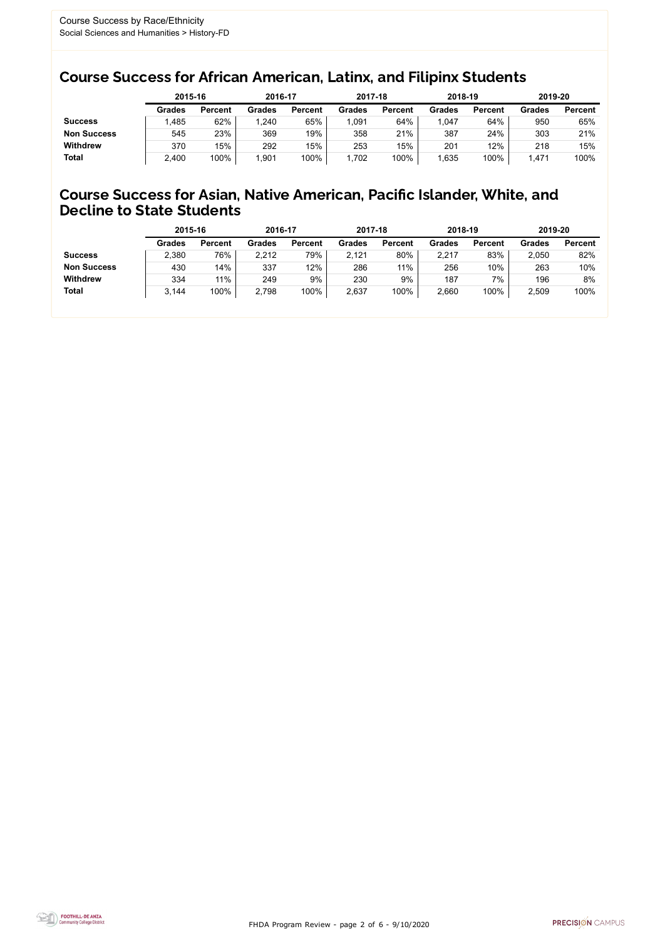FHDA Program Review - page 2 of 6 - 9/10/2020



### Course Success for African American, Latinx, and Filipinx Students

### Course Success for Asian, Native American, Pacific Islander, White, and Decline to State Students

|                    |               | 2015-16        |               | 2016-17        |               | 2017-18        | 2018-19       |                | 2019-20 |                |
|--------------------|---------------|----------------|---------------|----------------|---------------|----------------|---------------|----------------|---------|----------------|
|                    | <b>Grades</b> | <b>Percent</b> | <b>Grades</b> | <b>Percent</b> | <b>Grades</b> | <b>Percent</b> | <b>Grades</b> | <b>Percent</b> | Grades  | <b>Percent</b> |
| <b>Success</b>     | ,485          | 62%            | ,240          | 65%            | 091,ا         | 64%            | .047          | 64%            | 950     | 65%            |
| <b>Non Success</b> | 545           | 23%            | 369           | 19%            | 358           | 21%            | 387           | 24%            | 303     | 21%            |
| <b>Withdrew</b>    | 370           | 15%            | 292           | 15%            | 253           | 15%            | 201           | 12%            | 218     | 15%            |
| <b>Total</b>       | 2,400         | 100%           | 901.∣         | 100%           | 1,702         | 100%           | ,635          | 100%           | .47'    | 100%           |

|                    | 2015-16       |                | 2016-17       |                | 2017-18 |                | 2018-19       |                | 2019-20 |                |
|--------------------|---------------|----------------|---------------|----------------|---------|----------------|---------------|----------------|---------|----------------|
|                    | <b>Grades</b> | <b>Percent</b> | <b>Grades</b> | <b>Percent</b> | Grades  | <b>Percent</b> | <b>Grades</b> | <b>Percent</b> | Grades  | <b>Percent</b> |
| <b>Success</b>     | 2,380         | 76%            | 2,212         | 79%            | 2,121   | 80%            | 2,217         | 83%            | 2,050   | 82%            |
| <b>Non Success</b> | 430           | 14%            | 337           | 12%            | 286     | 11%            | 256           | 10%            | 263     | 10%            |
| <b>Withdrew</b>    | 334           | 11%            | 249           | 9%             | 230     | 9%             | 187           | 7%             | 196     | 8%             |
| <b>Total</b>       | 3,144         | 100%           | 2,798         | 100%           | 2,637   | 100%           | 2,660         | 100%           | 2,509   | 100%           |
|                    |               |                |               |                |         |                |               |                |         |                |

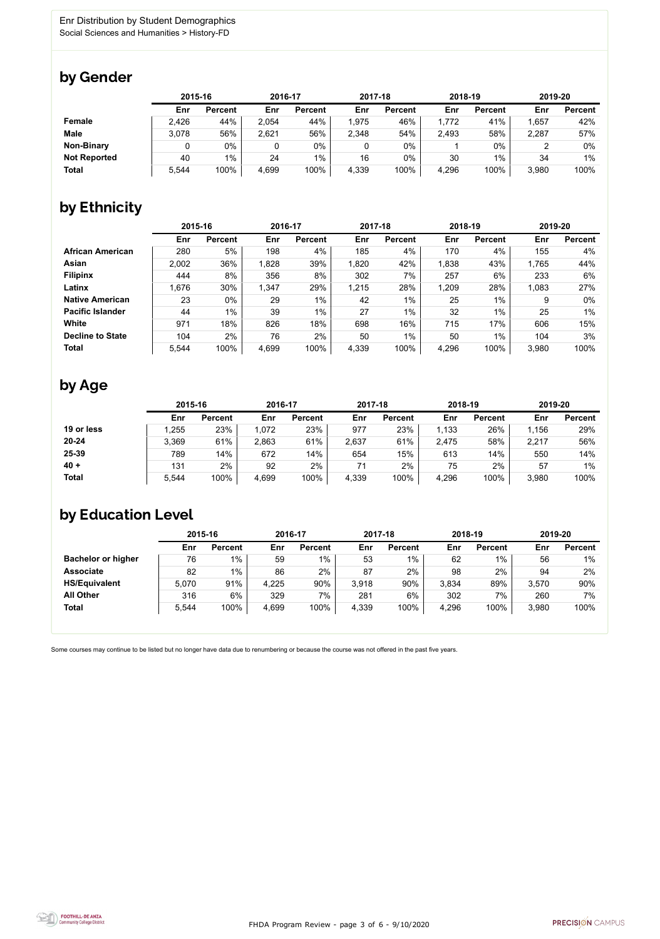FHDA Program Review - page 3 of 6 - 9/10/2020



Some courses may continue to be listed but no longer have data due to renumbering or because the course was not offered in the past five years.



### by Gender

|                     | 2015-16 |                |       | 2016-17        |       | 2017-18        | 2018-19 |                | 2019-20 |                |
|---------------------|---------|----------------|-------|----------------|-------|----------------|---------|----------------|---------|----------------|
|                     | Enr     | <b>Percent</b> | Enr   | <b>Percent</b> | Enr   | <b>Percent</b> | Enr     | <b>Percent</b> | Enr     | <b>Percent</b> |
| <b>Female</b>       | 2,426   | 44%            | 2,054 | 44%            | 1,975 | 46%            | 1,772   | 41%            | 1,657   | 42%            |
| <b>Male</b>         | 3,078   | 56%            | 2,621 | 56%            | 2,348 | 54%            | 2,493   | 58%            | 2,287   | 57%            |
| <b>Non-Binary</b>   |         | 0%             |       | $0\%$          |       | $0\%$          |         | $0\%$          |         | 0%             |
| <b>Not Reported</b> | 40      | $1\%$          | 24    | $1\%$          | 16    | $0\%$          | 30      | 1%             | 34      | $1\%$          |
| <b>Total</b>        | 5,544   | 100%           | 4,699 | 100%           | 4,339 | 100%           | 4,296   | 100%           | 3,980   | 100%           |

# by Ethnicity

|                         | 2015-16 |                | 2016-17 |                | 2017-18 |                | 2018-19 |                | 2019-20 |                |
|-------------------------|---------|----------------|---------|----------------|---------|----------------|---------|----------------|---------|----------------|
|                         | Enr     | <b>Percent</b> | Enr     | <b>Percent</b> | Enr     | <b>Percent</b> | Enr     | <b>Percent</b> | Enr     | <b>Percent</b> |
| <b>African American</b> | 280     | 5%             | 198     | 4%             | 185     | 4%             | 170     | 4%             | 155     | 4%             |
| <b>Asian</b>            | 2,002   | 36%            | 1,828   | 39%            | 1,820   | 42%            | 1,838   | 43%            | 1,765   | 44%            |
| <b>Filipinx</b>         | 444     | 8%             | 356     | 8%             | 302     | 7%             | 257     | 6%             | 233     | 6%             |
| Latinx                  | 1,676   | 30%            | 1,347   | 29%            | 1,215   | 28%            | 1,209   | 28%            | 1,083   | 27%            |
| <b>Native American</b>  | 23      | $0\%$          | 29      | $1\%$          | 42      | $1\%$          | 25      | $1\%$          | 9       | $0\%$          |
| <b>Pacific Islander</b> | 44      | 1%             | 39      | $1\%$          | 27      | $1\%$          | 32      | $1\%$          | 25      | $1\%$          |
| White                   | 971     | 18%            | 826     | 18%            | 698     | 16%            | 715     | 17%            | 606     | 15%            |
| <b>Decline to State</b> | 104     | 2%             | 76      | 2%             | 50      | $1\%$          | 50      | 1%             | 104     | 3%             |
| <b>Total</b>            | 5,544   | 100%           | 4,699   | 100%           | 4,339   | 100%           | 4,296   | 100%           | 3,980   | 100%           |

# by Age

|              | 2015-16 |                | 2016-17 |                | 2017-18 |                | 2018-19 |                | 2019-20 |                |
|--------------|---------|----------------|---------|----------------|---------|----------------|---------|----------------|---------|----------------|
|              | Enr     | <b>Percent</b> | Enr     | <b>Percent</b> | Enr     | <b>Percent</b> | Enr     | <b>Percent</b> | Enr     | <b>Percent</b> |
| 19 or less   | ,255    | 23%            | 1,072   | 23%            | 977     | 23%            | 1,133   | 26%            | 1,156   | 29%            |
| $20 - 24$    | 3,369   | 61%            | 2,863   | 61%            | 2,637   | 61%            | 2,475   | 58%            | 2,217   | 56%            |
| 25-39        | 789     | 14%            | 672     | 14%            | 654     | 15%            | 613     | 14%            | 550     | 14%            |
| $40 +$       | 131     | 2%             | 92      | $2\%$          | 71      | 2%             | 75      | 2%             | 57      | $1\%$          |
| <b>Total</b> | 5,544   | 100%           | 4,699   | 100%           | 4,339   | 100%           | 4,296   | 100%           | 3,980   | 100%           |

### by Education Level

|                           | 2015-16 |                |       | 2016-17        |       | 2017-18        | 2018-19 |                | 2019-20 |                |
|---------------------------|---------|----------------|-------|----------------|-------|----------------|---------|----------------|---------|----------------|
|                           | Enr     | <b>Percent</b> | Enr   | <b>Percent</b> | Enr   | <b>Percent</b> | Enr     | <b>Percent</b> | Enr     | <b>Percent</b> |
| <b>Bachelor or higher</b> | 76      | $1\%$          | 59    | $1\%$          | 53    | $1\%$          | 62      | $1\%$          | 56      | $1\%$          |
| <b>Associate</b>          | 82      | $1\%$          | 86    | 2%             | 87    | 2%             | 98      | 2%             | 94      | 2%             |
| <b>HS/Equivalent</b>      | 5,070   | 91%            | 4,225 | 90%            | 3.918 | 90%            | 3,834   | 89%            | 3,570   | 90%            |
| <b>All Other</b>          | 316     | $6\%$          | 329   | 7%             | 281   | 6%             | 302     | 7%             | 260     | 7%             |
| <b>Total</b>              | 5,544   | 100%           | 4,699 | 100%           | 4,339 | 100%           | 4,296   | 100%           | 3,980   | 100%           |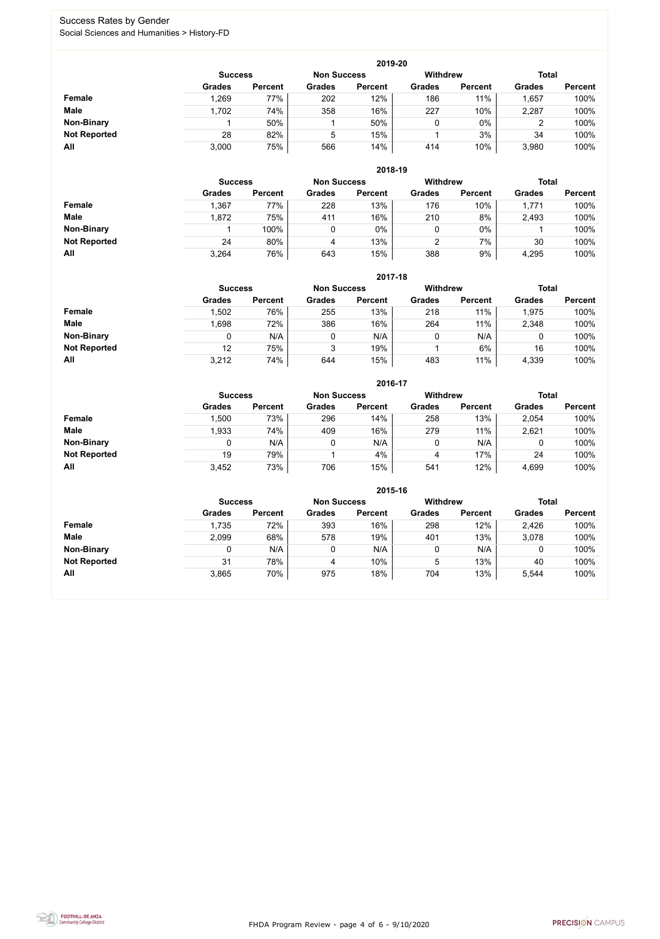FHDA Program Review - page 4 of 6 - 9/10/2020



#### Success Rates by Gender Social Sciences and Humanities > History-FD

|                     |                | 2019-20        |                    |                |                 |                |               |                |  |  |  |  |  |  |
|---------------------|----------------|----------------|--------------------|----------------|-----------------|----------------|---------------|----------------|--|--|--|--|--|--|
|                     | <b>Success</b> |                | <b>Non Success</b> |                | <b>Withdrew</b> |                | <b>Total</b>  |                |  |  |  |  |  |  |
|                     | <b>Grades</b>  | <b>Percent</b> | <b>Grades</b>      | <b>Percent</b> | <b>Grades</b>   | <b>Percent</b> | <b>Grades</b> | <b>Percent</b> |  |  |  |  |  |  |
| <b>Female</b>       | 1,269          | 77%            | 202                | 12%            | 186             | 11%            | ,657          | 100%           |  |  |  |  |  |  |
| <b>Male</b>         | 1,702          | 74%            | 358                | 16%            | 227             | 10%            | 2,287         | 100%           |  |  |  |  |  |  |
| <b>Non-Binary</b>   |                | 50%            |                    | 50%            | 0               | $0\%$          |               | 100%           |  |  |  |  |  |  |
| <b>Not Reported</b> | 28             | 82%            | 5                  | 15%            |                 | 3%             | 34            | 100%           |  |  |  |  |  |  |
| <b>All</b>          | 3,000          | 75%            | 566                | 14%            | 414             | 10%            | 3,980         | 100%           |  |  |  |  |  |  |

|                     |                | 2018-19        |                    |                |                 |                |               |                |  |  |  |  |  |
|---------------------|----------------|----------------|--------------------|----------------|-----------------|----------------|---------------|----------------|--|--|--|--|--|
|                     | <b>Success</b> |                | <b>Non Success</b> |                | <b>Withdrew</b> |                | <b>Total</b>  |                |  |  |  |  |  |
|                     | <b>Grades</b>  | <b>Percent</b> | <b>Grades</b>      | <b>Percent</b> | <b>Grades</b>   | <b>Percent</b> | <b>Grades</b> | <b>Percent</b> |  |  |  |  |  |
| <b>Female</b>       | .367           | 77%            | 228                | 13%            | 176             | 10%            | 1,771         | 100%           |  |  |  |  |  |
| <b>Male</b>         | 1,872          | 75%            | 411                | 16%            | 210             | 8%             | 2,493         | 100%           |  |  |  |  |  |
| <b>Non-Binary</b>   |                | 100%           | 0                  | 0%             | 0               | $0\%$          |               | 100%           |  |  |  |  |  |
| <b>Not Reported</b> | 24             | 80%            | 4                  | 13%            | 2               | 7%             | 30            | 100%           |  |  |  |  |  |
| All                 | 3,264          | 76%            | 643                | 15%            | 388             | 9%             | 4,295         | 100%           |  |  |  |  |  |

|                     |               | 2017-18                              |               |                |               |                 |               |                |  |  |  |  |  |
|---------------------|---------------|--------------------------------------|---------------|----------------|---------------|-----------------|---------------|----------------|--|--|--|--|--|
|                     |               | <b>Non Success</b><br><b>Success</b> |               |                |               | <b>Withdrew</b> | <b>Total</b>  |                |  |  |  |  |  |
|                     | <b>Grades</b> | <b>Percent</b>                       | <b>Grades</b> | <b>Percent</b> | <b>Grades</b> | <b>Percent</b>  | <b>Grades</b> | <b>Percent</b> |  |  |  |  |  |
| Female              | 1,502         | 76%                                  | 255           | 13%            | 218           | 11%             | 1,975         | 100%           |  |  |  |  |  |
| <b>Male</b>         | .698          | 72%                                  | 386           | 16%            | 264           | 11%             | 2,348         | 100%           |  |  |  |  |  |
| <b>Non-Binary</b>   | 0             | N/A                                  | 0             | N/A            | 0             | N/A             | 0             | 100%           |  |  |  |  |  |
| <b>Not Reported</b> | 12            | 75%                                  | 3             | 19%            |               | 6%              | 16            | 100%           |  |  |  |  |  |
| All                 | 3,212         | 74%                                  | 644           | 15%            | 483           | 11%             | 4,339         | 100%           |  |  |  |  |  |

|                     |               | 2016-17                              |               |                |                 |                |               |                |  |  |
|---------------------|---------------|--------------------------------------|---------------|----------------|-----------------|----------------|---------------|----------------|--|--|
|                     |               | <b>Non Success</b><br><b>Success</b> |               |                | <b>Withdrew</b> |                | <b>Total</b>  |                |  |  |
|                     | <b>Grades</b> | <b>Percent</b>                       | <b>Grades</b> | <b>Percent</b> | <b>Grades</b>   | <b>Percent</b> | <b>Grades</b> | <b>Percent</b> |  |  |
| <b>Female</b>       | 1,500         | 73%                                  | 296           | 14%            | 258             | 13%            | 2,054         | 100%           |  |  |
| <b>Male</b>         | 1,933         | 74%                                  | 409           | 16%            | 279             | 11%            | 2,621         | 100%           |  |  |
| <b>Non-Binary</b>   | 0             | N/A                                  |               | N/A            | 0               | N/A            |               | 100%           |  |  |
| <b>Not Reported</b> | 19            | 79%                                  |               | 4%             | 4               | 17%            | 24            | 100%           |  |  |
| All                 | 3,452         | 73%                                  | 706           | 15%            | 541             | 12%            | 4,699         | 100%           |  |  |

|                     |               |                                      |               |                | 2015-16         |                |               |                |
|---------------------|---------------|--------------------------------------|---------------|----------------|-----------------|----------------|---------------|----------------|
|                     |               | <b>Non Success</b><br><b>Success</b> |               |                | <b>Withdrew</b> |                | <b>Total</b>  |                |
|                     | <b>Grades</b> | <b>Percent</b>                       | <b>Grades</b> | <b>Percent</b> | <b>Grades</b>   | <b>Percent</b> | <b>Grades</b> | <b>Percent</b> |
| Female              | 1,735         | 72%                                  | 393           | 16%            | 298             | 12%            | 2,426         | 100%           |
| <b>Male</b>         | 2,099         | 68%                                  | 578           | 19%            | 401             | 13%            | 3,078         | 100%           |
| <b>Non-Binary</b>   |               | N/A                                  | 0             | N/A            |                 | N/A            |               | 100%           |
| <b>Not Reported</b> | 31            | 78%                                  | 4             | 10%            | 5               | 13%            | 40            | 100%           |
| All                 | 3,865         | 70%                                  | 975           | 18%            | 704             | 13%            | 5,544         | 100%           |

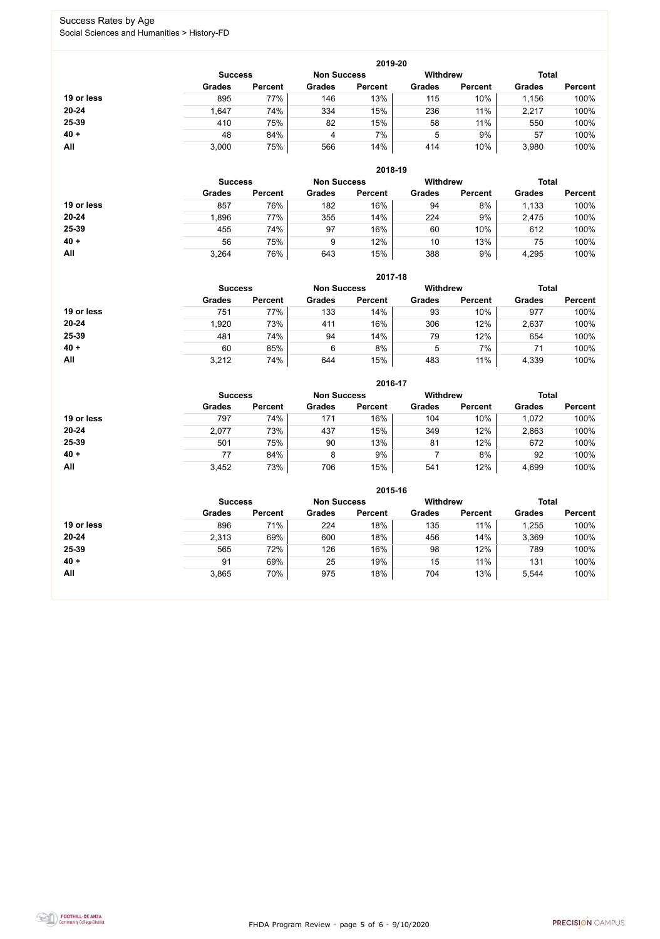FHDA Program Review - page 5 of 6 - 9/10/2020



#### Success Rates by Age Social Sciences and Humanities > History-FD

|            |                |                    |               | 2019-20         |               |                |               |                |
|------------|----------------|--------------------|---------------|-----------------|---------------|----------------|---------------|----------------|
|            | <b>Success</b> | <b>Non Success</b> |               | <b>Withdrew</b> |               | <b>Total</b>   |               |                |
|            | <b>Grades</b>  | <b>Percent</b>     | <b>Grades</b> | <b>Percent</b>  | <b>Grades</b> | <b>Percent</b> | <b>Grades</b> | <b>Percent</b> |
| 19 or less | 895            | 77%                | 146           | 13%             | 115           | 10%            | 1,156         | 100%           |
| $20 - 24$  | 1,647          | 74%                | 334           | 15%             | 236           | 11%            | 2,217         | 100%           |
| 25-39      | 410            | 75%                | 82            | 15%             | 58            | 11%            | 550           | 100%           |
| $40 +$     | 48             | 84%                | 4             | 7%              | 5             | 9%             | 57            | 100%           |
| All        | 3,000          | 75%                | 566           | 14%             | 414           | 10%            | 3,980         | 100%           |

|            |                |                    |               | 2018-19         |               |                |               |                |
|------------|----------------|--------------------|---------------|-----------------|---------------|----------------|---------------|----------------|
|            | <b>Success</b> | <b>Non Success</b> |               | <b>Withdrew</b> |               | <b>Total</b>   |               |                |
|            | <b>Grades</b>  | <b>Percent</b>     | <b>Grades</b> | <b>Percent</b>  | <b>Grades</b> | <b>Percent</b> | <b>Grades</b> | <b>Percent</b> |
| 19 or less | 857            | 76%                | 182           | 16%             | 94            | 8%             | 1,133         | 100%           |
| $20 - 24$  | 1,896          | 77%                | 355           | 14%             | 224           | 9%             | 2,475         | 100%           |
| 25-39      | 455            | 74%                | 97            | 16%             | 60            | 10%            | 612           | 100%           |
| $40 +$     | 56             | 75%                | 9             | 12%             | 10            | 13%            | 75            | 100%           |
| All        | 3,264          | 76%                | 643           | 15%             | 388           | 9%             | 4,295         | 100%           |

|            |                                      |                |               | 2017-18        |                 |                |               |                |
|------------|--------------------------------------|----------------|---------------|----------------|-----------------|----------------|---------------|----------------|
|            | <b>Non Success</b><br><b>Success</b> |                |               |                | <b>Withdrew</b> |                | <b>Total</b>  |                |
|            | <b>Grades</b>                        | <b>Percent</b> | <b>Grades</b> | <b>Percent</b> | <b>Grades</b>   | <b>Percent</b> | <b>Grades</b> | <b>Percent</b> |
| 19 or less | 751                                  | 77%            | 133           | 14%            | 93              | 10%            | 977           | 100%           |
| $20 - 24$  | 1,920                                | 73%            | 411           | 16%            | 306             | 12%            | 2,637         | 100%           |
| 25-39      | 481                                  | 74%            | 94            | 14%            | 79              | 12%            | 654           | 100%           |
| $40 +$     | 60                                   | 85%            | 6             | 8%             | 5               | 7%             | 71            | 100%           |
| All        | 3,212                                | 74%            | 644           | 15%            | 483             | 11%            | 4,339         | 100%           |

|            |                                      |                |               | 2016-17         |               |                |               |                |
|------------|--------------------------------------|----------------|---------------|-----------------|---------------|----------------|---------------|----------------|
|            | <b>Non Success</b><br><b>Success</b> |                |               | <b>Withdrew</b> |               | <b>Total</b>   |               |                |
|            | <b>Grades</b>                        | <b>Percent</b> | <b>Grades</b> | <b>Percent</b>  | <b>Grades</b> | <b>Percent</b> | <b>Grades</b> | <b>Percent</b> |
| 19 or less | 797                                  | 74%            | 171           | 16%             | 104           | 10%            | 1,072         | 100%           |
| $20 - 24$  | 2,077                                | 73%            | 437           | 15%             | 349           | 12%            | 2,863         | 100%           |
| 25-39      | 501                                  | 75%            | 90            | 13%             | 81            | 12%            | 672           | 100%           |
| $40 +$     | 77                                   | 84%            | 8             | 9%              |               | 8%             | 92            | 100%           |
| <b>All</b> | 3,452                                | 73%            | 706           | 15%             | 541           | 12%            | 4,699         | 100%           |

|            |                                      |                |               | 2015-16        |                 |                |               |                |
|------------|--------------------------------------|----------------|---------------|----------------|-----------------|----------------|---------------|----------------|
|            | <b>Non Success</b><br><b>Success</b> |                |               |                | <b>Withdrew</b> |                | <b>Total</b>  |                |
|            | <b>Grades</b>                        | <b>Percent</b> | <b>Grades</b> | <b>Percent</b> | <b>Grades</b>   | <b>Percent</b> | <b>Grades</b> | <b>Percent</b> |
| 19 or less | 896                                  | 71%            | 224           | 18%            | 135             | 11%            | 1,255         | 100%           |
| $20 - 24$  | 2,313                                | 69%            | 600           | 18%            | 456             | 14%            | 3,369         | 100%           |
| 25-39      | 565                                  | 72%            | 126           | 16%            | 98              | 12%            | 789           | 100%           |
| $40 +$     | 91                                   | 69%            | 25            | 19%            | 15              | 11%            | 131           | 100%           |
| All        | 3,865                                | 70%            | 975           | 18%            | 704             | 13%            | 5,544         | 100%           |